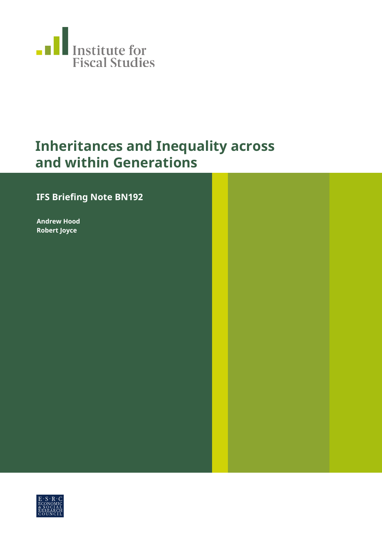

### **Inheritances and Inequality across and within Generations**

### **IFS Briefing Note BN192**

**Andrew Hood Robert Joyce**

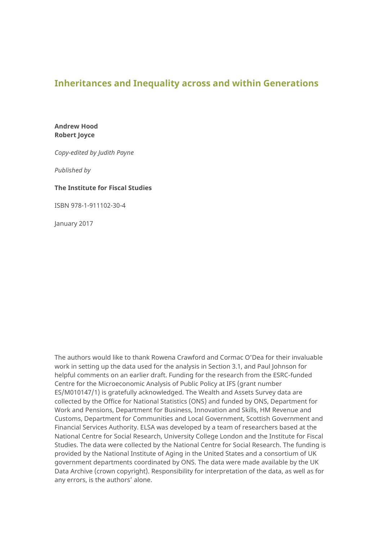#### **Inheritances and Inequality across and within Generations**

**Andrew Hood Robert Joyce**

*Copy-edited by Judith Payne*

*Published by*

#### **The Institute for Fiscal Studies**

ISBN 978-1-911102-30-4

January 2017

The authors would like to thank Rowena Crawford and Cormac O'Dea for their invaluable work in setting up the data used for the analysis in Section 3.1, and Paul Johnson for helpful comments on an earlier draft. Funding for the research from the ESRC-funded Centre for the Microeconomic Analysis of Public Policy at IFS (grant number ES/M010147/1) is gratefully acknowledged. The Wealth and Assets Survey data are collected by the Office for National Statistics (ONS) and funded by ONS, Department for Work and Pensions, Department for Business, Innovation and Skills, HM Revenue and Customs, Department for Communities and Local Government, Scottish Government and Financial Services Authority. ELSA was developed by a team of researchers based at the National Centre for Social Research, University College London and the Institute for Fiscal Studies. The data were collected by the National Centre for Social Research. The funding is provided by the National Institute of Aging in the United States and a consortium of UK government departments coordinated by ONS. The data were made available by the UK Data Archive (crown copyright). Responsibility for interpretation of the data, as well as for any errors, is the authors' alone.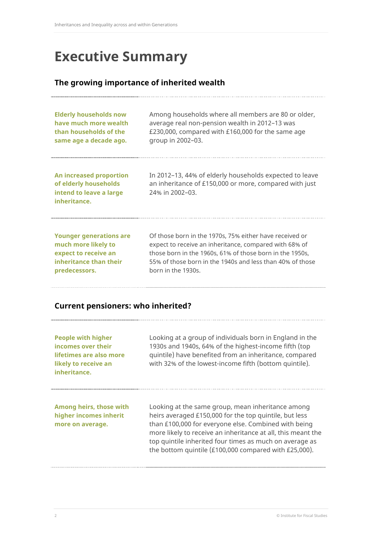# **Executive Summary**

#### **The growing importance of inherited wealth**

| <b>Elderly households now</b>                                                               | Among households where all members are 80 or older,                                                                                  |
|---------------------------------------------------------------------------------------------|--------------------------------------------------------------------------------------------------------------------------------------|
| have much more wealth                                                                       | average real non-pension wealth in 2012-13 was                                                                                       |
| than households of the                                                                      | £230,000, compared with £160,000 for the same age                                                                                    |
| same age a decade ago.                                                                      | group in 2002-03.                                                                                                                    |
| An increased proportion<br>of elderly households<br>intend to leave a large<br>inheritance. | In 2012–13, 44% of elderly households expected to leave<br>an inheritance of £150,000 or more, compared with just<br>24% in 2002-03. |
| <b>Younger generations are</b>                                                              | Of those born in the 1970s, 75% either have received or                                                                              |
| much more likely to                                                                         | expect to receive an inheritance, compared with 68% of                                                                               |
| expect to receive an                                                                        | those born in the 1960s, 61% of those born in the 1950s,                                                                             |
| inheritance than their                                                                      | 55% of those born in the 1940s and less than 40% of those                                                                            |
| predecessors.                                                                               | born in the 1930s.                                                                                                                   |

#### **Current pensioners: who inherited?**

| <b>People with higher</b><br>incomes over their<br>lifetimes are also more<br>likely to receive an<br>inheritance. | Looking at a group of individuals born in England in the<br>1930s and 1940s, 64% of the highest-income fifth (top<br>quintile) have benefited from an inheritance, compared<br>with 32% of the lowest-income fifth (bottom quintile).                                                                                                                   |
|--------------------------------------------------------------------------------------------------------------------|---------------------------------------------------------------------------------------------------------------------------------------------------------------------------------------------------------------------------------------------------------------------------------------------------------------------------------------------------------|
| Among heirs, those with<br>higher incomes inherit<br>more on average.                                              | Looking at the same group, mean inheritance among<br>heirs averaged £150,000 for the top quintile, but less<br>than £100,000 for everyone else. Combined with being<br>more likely to receive an inheritance at all, this meant the<br>top quintile inherited four times as much on average as<br>the bottom quintile (£100,000 compared with £25,000). |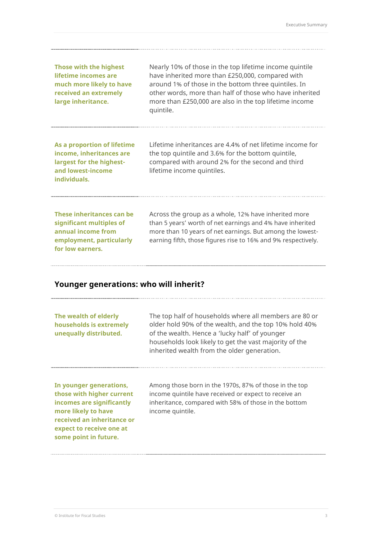| Those with the highest<br>lifetime incomes are<br>much more likely to have<br>received an extremely<br>large inheritance. | Nearly 10% of those in the top lifetime income quintile<br>have inherited more than £250,000, compared with<br>around 1% of those in the bottom three quintiles. In<br>other words, more than half of those who have inherited<br>more than £250,000 are also in the top lifetime income<br>quintile. |
|---------------------------------------------------------------------------------------------------------------------------|-------------------------------------------------------------------------------------------------------------------------------------------------------------------------------------------------------------------------------------------------------------------------------------------------------|
| As a proportion of lifetime<br>income, inheritances are<br>largest for the highest-<br>and lowest-income<br>individuals.  | Lifetime inheritances are 4.4% of net lifetime income for<br>the top quintile and 3.6% for the bottom quintile,<br>compared with around 2% for the second and third<br>lifetime income quintiles.                                                                                                     |
| These inheritances can be<br>significant multiples of<br>annual income from<br>employment, particularly                   | Across the group as a whole, 12% have inherited more<br>than 5 years' worth of net earnings and 4% have inherited<br>more than 10 years of net earnings. But among the lowest-<br>earning fifth, those figures rise to 16% and 9% respectively.                                                       |

#### **Younger generations: who will inherit?**

| The wealth of elderly<br>households is extremely<br>unequally distributed.                                                                                                                  | The top half of households where all members are 80 or<br>older hold 90% of the wealth, and the top 10% hold 40%<br>of the wealth. Hence a 'lucky half' of younger<br>households look likely to get the vast majority of the<br>inherited wealth from the older generation. |
|---------------------------------------------------------------------------------------------------------------------------------------------------------------------------------------------|-----------------------------------------------------------------------------------------------------------------------------------------------------------------------------------------------------------------------------------------------------------------------------|
| In younger generations,<br>those with higher current<br>incomes are significantly<br>more likely to have<br>received an inheritance or<br>expect to receive one at<br>some point in future. | Among those born in the 1970s, 87% of those in the top<br>income quintile have received or expect to receive an<br>inheritance, compared with 58% of those in the bottom<br>income quintile.                                                                                |

**for low earners.**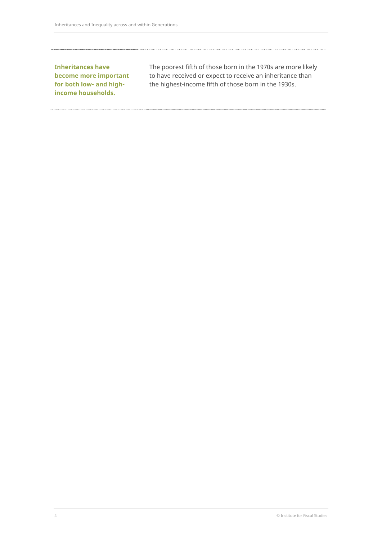**Inheritances have become more important for both low- and highincome households.**

The poorest fifth of those born in the 1970s are more likely to have received or expect to receive an inheritance than the highest-income fifth of those born in the 1930s.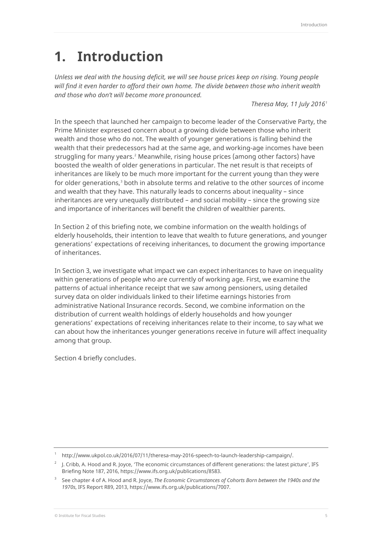## **1. Introduction**

*Unless we deal with the housing deficit, we will see house prices keep on rising. Young people will find it even harder to afford their own home. The divide between those who inherit wealth and those who don't will become more pronounced.* 

*Theresa May, 11 July 2016[1](#page-5-0)*

In the speech that launched her campaign to become leader of the Conservative Party, the Prime Minister expressed concern about a growing divide between those who inherit wealth and those who do not. The wealth of younger generations is falling behind the wealth that their predecessors had at the same age, and working-age incomes have been struggling for many years.<sup>[2](#page-5-1)</sup> Meanwhile, rising house prices (among other factors) have boosted the wealth of older generations in particular. The net result is that receipts of inheritances are likely to be much more important for the current young than they were for older generations,<sup>[3](#page-5-2)</sup> both in absolute terms and relative to the other sources of income and wealth that they have. This naturally leads to concerns about inequality – since inheritances are very unequally distributed – and social mobility – since the growing size and importance of inheritances will benefit the children of wealthier parents.

In Section 2 of this briefing note, we combine information on the wealth holdings of elderly households, their intention to leave that wealth to future generations, and younger generations' expectations of receiving inheritances, to document the growing importance of inheritances.

In Section 3, we investigate what impact we can expect inheritances to have on inequality within generations of people who are currently of working age. First, we examine the patterns of actual inheritance receipt that we saw among pensioners, using detailed survey data on older individuals linked to their lifetime earnings histories from administrative National Insurance records. Second, we combine information on the distribution of current wealth holdings of elderly households and how younger generations' expectations of receiving inheritances relate to their income, to say what we can about how the inheritances younger generations receive in future will affect inequality among that group.

Section 4 briefly concludes.

<sup>1</sup> [http://www.ukpol.co.uk/2016/07/11/theresa-may-2016-speech-to-launch-leadership-campaign/.](http://www.ukpol.co.uk/2016/07/11/theresa-may-2016-speech-to-launch-leadership-campaign/)

<span id="page-5-1"></span><span id="page-5-0"></span><sup>&</sup>lt;sup>2</sup> J. Cribb, A. Hood and R. Joyce, 'The economic circumstances of different generations: the latest picture', IFS Briefing Note 187, 2016[, https://www.ifs.org.uk/publications/8583.](https://www.ifs.org.uk/publications/8583)

<span id="page-5-2"></span><sup>3</sup> See chapter 4 of A. Hood and R. Joyce, *The Economic Circumstances of Cohorts Born between the 1940s and the 1970s*, IFS Report R89, 2013[, https://www.ifs.org.uk/publications/7007.](https://www.ifs.org.uk/publications/7007)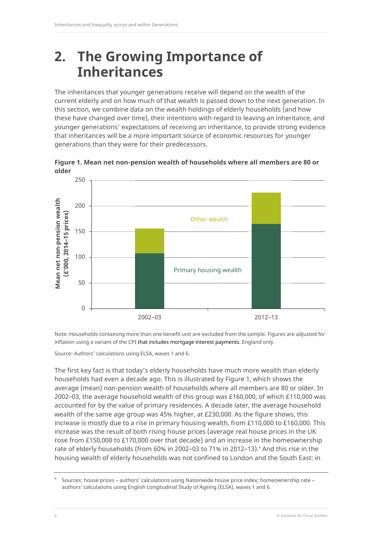### **2. The Growing Importance of Inheritances**

The inheritances that younger generations receive will depend on the wealth of the current elderly and on how much of that wealth is passed down to the next generation. In this section, we combine data on the wealth holdings of elderly households (and how these have changed over time), their intentions with regard to leaving an inheritance, and younger generations' expectations of receiving an inheritance, to provide strong evidence that inheritances will be a more important source of economic resources for younger generations than they were for their predecessors.

**Figure 1. Mean net non-pension wealth of households where all members are 80 or older**



Note: Households containing more than one benefit unit are excluded from the sample. Figures are adjusted for inflation using a variant of the CPI that includes mortgage interest payments. England only.

Source: Authors' calculations using ELSA, waves 1 and 6.

The first key fact is that today's elderly households have much more wealth than elderly households had even a decade ago. This is illustrated by Figure 1, which shows the average (mean) non-pension wealth of households where all members are 80 or older. In 2002–03, the average household wealth of this group was £160,000, of which £110,000 was accounted for by the value of primary residences. A decade later, the average household wealth of the same age group was 45% higher, at £230,000. As the figure shows, this increase is mostly due to a rise in primary housing wealth, from £110,000 to £160,000. This increase was the result of both rising house prices (average real house prices in the UK rose from £150,000 to £170,000 over that decade) and an increase in the homeownership rate of elderly households (from 60% in 2002-03 to 71% in 2012-13).<sup>[4](#page-6-0)</sup> And this rise in the housing wealth of elderly households was not confined to London and the South East: in

<span id="page-6-0"></span><sup>4</sup> Sources: house prices – authors' calculations using Nationwide house price index; homeownership rate – authors' calculations using English Longitudinal Study of Ageing (ELSA), waves 1 and 6.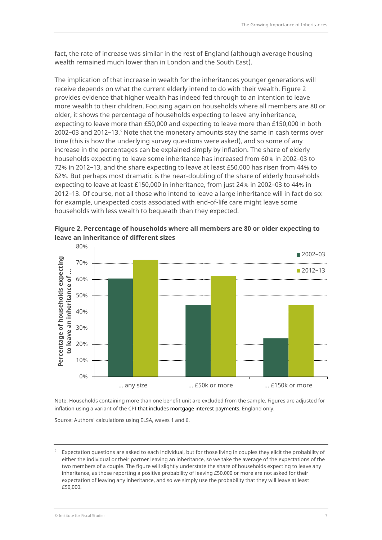fact, the rate of increase was similar in the rest of England (although average housing wealth remained much lower than in London and the South East).

The implication of that increase in wealth for the inheritances younger generations will receive depends on what the current elderly intend to do with their wealth. Figure 2 provides evidence that higher wealth has indeed fed through to an intention to leave more wealth to their children. Focusing again on households where all members are 80 or older, it shows the percentage of households expecting to leave any inheritance, expecting to leave more than £50,000 and expecting to leave more than £150,000 in both 2002–03 and 2012–13.[5](#page-7-0) Note that the monetary amounts stay the same in cash terms over time (this is how the underlying survey questions were asked), and so some of any increase in the percentages can be explained simply by inflation. The share of elderly households expecting to leave some inheritance has increased from 60% in 2002–03 to 72% in 2012–13, and the share expecting to leave at least £50,000 has risen from 44% to 62%. But perhaps most dramatic is the near-doubling of the share of elderly households expecting to leave at least £150,000 in inheritance, from just 24% in 2002–03 to 44% in 2012–13. Of course, not all those who intend to leave a large inheritance will in fact do so: for example, unexpected costs associated with end-of-life care might leave some households with less wealth to bequeath than they expected.



**Figure 2. Percentage of households where all members are 80 or older expecting to leave an inheritance of different sizes**

Note: Households containing more than one benefit unit are excluded from the sample. Figures are adjusted for inflation using a variant of the CPI that includes mortgage interest payments. England only.

Source: Authors' calculations using ELSA, waves 1 and 6.

<span id="page-7-0"></span><sup>5</sup> Expectation questions are asked to each individual, but for those living in couples they elicit the probability of either the individual or their partner leaving an inheritance, so we take the average of the expectations of the two members of a couple. The figure will slightly understate the share of households expecting to leave any inheritance, as those reporting a positive probability of leaving £50,000 or more are not asked for their expectation of leaving any inheritance, and so we simply use the probability that they will leave at least £50,000.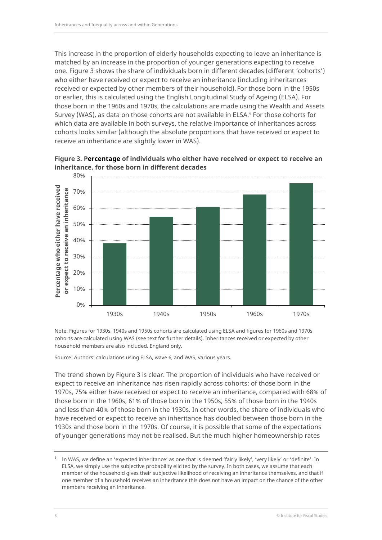This increase in the proportion of elderly households expecting to leave an inheritance is matched by an increase in the proportion of younger generations expecting to receive one. Figure 3 shows the share of individuals born in different decades (different 'cohorts') who either have received or expect to receive an inheritance (including inheritances received or expected by other members of their household). For those born in the 1950s or earlier, this is calculated using the English Longitudinal Study of Ageing (ELSA). For those born in the 1960s and 1970s, the calculations are made using the Wealth and Assets Survey (WAS), as data on those cohorts are not available in ELSA.<sup>[6](#page-8-0)</sup> For those cohorts for which data are available in both surveys, the relative importance of inheritances across cohorts looks similar (although the absolute proportions that have received or expect to receive an inheritance are slightly lower in WAS).



**Figure 3. Percentage of individuals who either have received or expect to receive an inheritance, for those born in different decades**

Note: Figures for 1930s, 1940s and 1950s cohorts are calculated using ELSA and figures for 1960s and 1970s cohorts are calculated using WAS (see text for further details). Inheritances received or expected by other household members are also included. England only.

Source: Authors' calculations using ELSA, wave 6, and WAS, various years.

The trend shown by Figure 3 is clear. The proportion of individuals who have received or expect to receive an inheritance has risen rapidly across cohorts: of those born in the 1970s, 75% either have received or expect to receive an inheritance, compared with 68% of those born in the 1960s, 61% of those born in the 1950s, 55% of those born in the 1940s and less than 40% of those born in the 1930s. In other words, the share of individuals who have received or expect to receive an inheritance has doubled between those born in the 1930s and those born in the 1970s. Of course, it is possible that some of the expectations of younger generations may not be realised. But the much higher homeownership rates

<span id="page-8-0"></span>In WAS, we define an 'expected inheritance' as one that is deemed 'fairly likely', 'very likely' or 'definite'. In ELSA, we simply use the subjective probability elicited by the survey. In both cases, we assume that each member of the household gives their subjective likelihood of receiving an inheritance themselves, and that if one member of a household receives an inheritance this does not have an impact on the chance of the other members receiving an inheritance.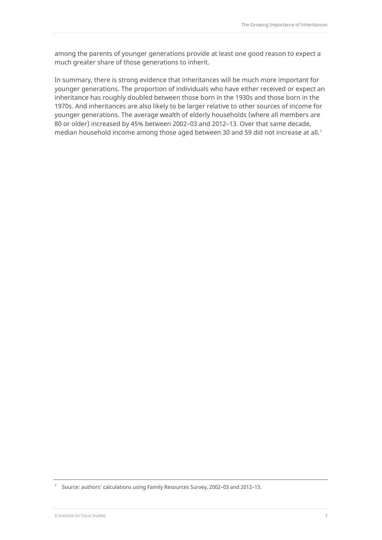among the parents of younger generations provide at least one good reason to expect a much greater share of those generations to inherit.

In summary, there is strong evidence that inheritances will be much more important for younger generations. The proportion of individuals who have either received or expect an inheritance has roughly doubled between those born in the 1930s and those born in the 1970s. And inheritances are also likely to be larger relative to other sources of income for younger generations. The average wealth of elderly households (where all members are 80 or older) increased by 45% between 2002–03 and 2012–13. Over that same decade, median household income among those aged between 30 and 59 did not increase at all.<sup>[7](#page-9-0)</sup>

<span id="page-9-0"></span><sup>7</sup> Source: authors' calculations using Family Resources Survey, 2002–03 and 2012–13.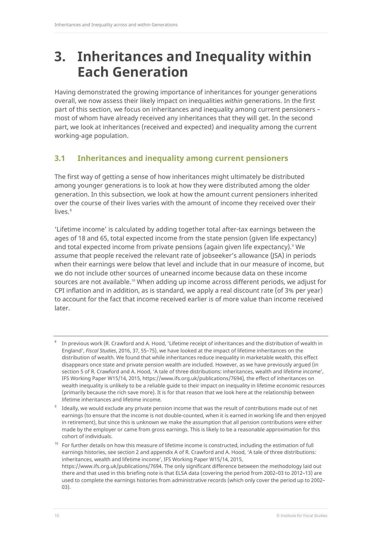### **3. Inheritances and Inequality within Each Generation**

Having demonstrated the growing importance of inheritances for younger generations overall, we now assess their likely impact on inequalities *within* generations. In the first part of this section, we focus on inheritances and inequality among current pensioners – most of whom have already received any inheritances that they will get. In the second part, we look at inheritances (received and expected) and inequality among the current working-age population.

#### **3.1 Inheritances and inequality among current pensioners**

The first way of getting a sense of how inheritances might ultimately be distributed among younger generations is to look at how they were distributed among the older generation. In this subsection, we look at how the amount current pensioners inherited over the course of their lives varies with the amount of income they received over their lives.<sup>[8](#page-10-0)</sup>

'Lifetime income' is calculated by adding together total after-tax earnings between the ages of 18 and 65, total expected income from the state pension (given life expectancy) and total expected income from private pensions (again given life expectancy).<sup>[9](#page-10-1)</sup> We assume that people received the relevant rate of jobseeker's allowance (JSA) in periods when their earnings were below that level and include that in our measure of income, but we do not include other sources of unearned income because data on these income sources are not available.<sup>[10](#page-10-2)</sup> When adding up income across different periods, we adjust for CPI inflation and in addition, as is standard, we apply a real discount rate (of 3% per year) to account for the fact that income received earlier is of more value than income received later.

<span id="page-10-0"></span><sup>8</sup> In previous work (R. Crawford and A. Hood, 'Lifetime receipt of inheritances and the distribution of wealth in England', *Fiscal Studies*, 2016, 37, 55–75), we have looked at the impact of lifetime inheritances on the distribution of wealth. We found that while inheritances reduce inequality in marketable wealth, this effect disappears once state and private pension wealth are included. However, as we have previously argued (in section 5 of R. Crawford and A. Hood, 'A tale of three distributions: inheritances, wealth and lifetime income', IFS Working Paper W15/14, 2015[, https://www.ifs.org.uk/publications/7694\)](https://www.ifs.org.uk/publications/7694)*,* the effect of inheritances on wealth inequality is unlikely to be a reliable guide to their impact on inequality in lifetime economic resources (primarily because the rich save more). It is for that reason that we look here at the relationship between lifetime inheritances and lifetime income.

<span id="page-10-1"></span>Ideally, we would exclude any private pension income that was the result of contributions made out of net earnings (to ensure that the income is not double-counted, when it is earned in working life and then enjoyed in retirement), but since this is unknown we make the assumption that all pension contributions were either made by the employer or came from gross earnings. This is likely to be a reasonable approximation for this cohort of individuals.

<span id="page-10-2"></span><sup>&</sup>lt;sup>10</sup> For further details on how this measure of lifetime income is constructed, including the estimation of full earnings histories, see section 2 and appendix A of R. Crawford and A. Hood, 'A tale of three distributions: inheritances, wealth and lifetime income', IFS Working Paper W15/14, 2015, [https://www.ifs.org.uk/publications/7694.](https://www.ifs.org.uk/publications/7694) The only significant difference between the methodology laid out there and that used in this briefing note is that ELSA data (covering the period from 2002–03 to 2012–13) are used to complete the earnings histories from administrative records (which only cover the period up to 2002– 03).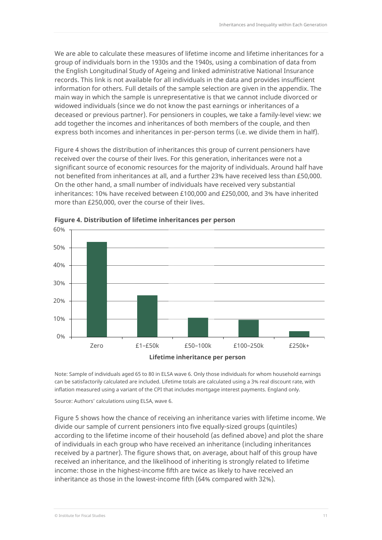We are able to calculate these measures of lifetime income and lifetime inheritances for a group of individuals born in the 1930s and the 1940s, using a combination of data from the English Longitudinal Study of Ageing and linked administrative National Insurance records. This link is not available for all individuals in the data and provides insufficient information for others. Full details of the sample selection are given in the appendix. The main way in which the sample is unrepresentative is that we cannot include divorced or widowed individuals (since we do not know the past earnings or inheritances of a deceased or previous partner). For pensioners in couples, we take a family-level view: we add together the incomes and inheritances of both members of the couple, and then express both incomes and inheritances in per-person terms (i.e. we divide them in half).

Figure 4 shows the distribution of inheritances this group of current pensioners have received over the course of their lives. For this generation, inheritances were not a significant source of economic resources for the majority of individuals. Around half have not benefited from inheritances at all, and a further 23% have received less than £50,000. On the other hand, a small number of individuals have received very substantial inheritances: 10% have received between £100,000 and £250,000, and 3% have inherited more than £250,000, over the course of their lives.



**Figure 4. Distribution of lifetime inheritances per person**

Note: Sample of individuals aged 65 to 80 in ELSA wave 6. Only those individuals for whom household earnings can be satisfactorily calculated are included. Lifetime totals are calculated using a 3% real discount rate, with inflation measured using a variant of the CPI that includes mortgage interest payments. England only.

Source: Authors' calculations using ELSA, wave 6.

Figure 5 shows how the chance of receiving an inheritance varies with lifetime income. We divide our sample of current pensioners into five equally-sized groups (quintiles) according to the lifetime income of their household (as defined above) and plot the share of individuals in each group who have received an inheritance (including inheritances received by a partner). The figure shows that, on average, about half of this group have received an inheritance, and the likelihood of inheriting is strongly related to lifetime income: those in the highest-income fifth are twice as likely to have received an inheritance as those in the lowest-income fifth (64% compared with 32%).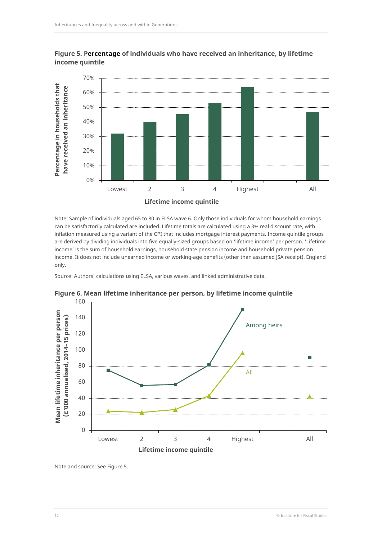

**Figure 5. Percentage of individuals who have received an inheritance, by lifetime income quintile**

Note: Sample of individuals aged 65 to 80 in ELSA wave 6. Only those individuals for whom household earnings can be satisfactorily calculated are included. Lifetime totals are calculated using a 3% real discount rate, with inflation measured using a variant of the CPI that includes mortgage interest payments. Income quintile groups are derived by dividing individuals into five equally-sized groups based on 'lifetime income' per person. 'Lifetime income' is the sum of household earnings, household state pension income and household private pension income. It does not include unearned income or working-age benefits (other than assumed JSA receipt). England only.

Source: Authors' calculations using ELSA, various waves, and linked administrative data.



**Figure 6. Mean lifetime inheritance per person, by lifetime income quintile**

Note and source: See Figure 5.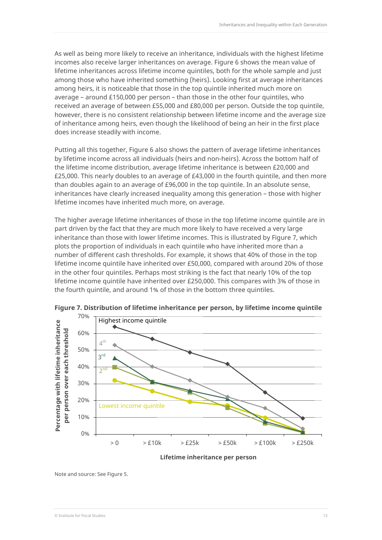As well as being more likely to receive an inheritance, individuals with the highest lifetime incomes also receive larger inheritances on average. Figure 6 shows the mean value of lifetime inheritances across lifetime income quintiles, both for the whole sample and just among those who have inherited something (heirs). Looking first at average inheritances among heirs, it is noticeable that those in the top quintile inherited much more on average – around £150,000 per person – than those in the other four quintiles, who received an average of between £55,000 and £80,000 per person. Outside the top quintile, however, there is no consistent relationship between lifetime income and the average size of inheritance among heirs, even though the likelihood of being an heir in the first place does increase steadily with income.

Putting all this together, Figure 6 also shows the pattern of average lifetime inheritances by lifetime income across all individuals (heirs and non-heirs). Across the bottom half of the lifetime income distribution, average lifetime inheritance is between £20,000 and £25,000. This nearly doubles to an average of £43,000 in the fourth quintile, and then more than doubles again to an average of £96,000 in the top quintile. In an absolute sense, inheritances have clearly increased inequality among this generation – those with higher lifetime incomes have inherited much more, on average.

The higher average lifetime inheritances of those in the top lifetime income quintile are in part driven by the fact that they are much more likely to have received a very large inheritance than those with lower lifetime incomes. This is illustrated by Figure 7, which plots the proportion of individuals in each quintile who have inherited more than a number of different cash thresholds. For example, it shows that 40% of those in the top lifetime income quintile have inherited over £50,000, compared with around 20% of those in the other four quintiles. Perhaps most striking is the fact that nearly 10% of the top lifetime income quintile have inherited over £250,000. This compares with 3% of those in the fourth quintile, and around 1% of those in the bottom three quintiles.



**Figure 7. Distribution of lifetime inheritance per person, by lifetime income quintile**

Note and source: See Figure 5.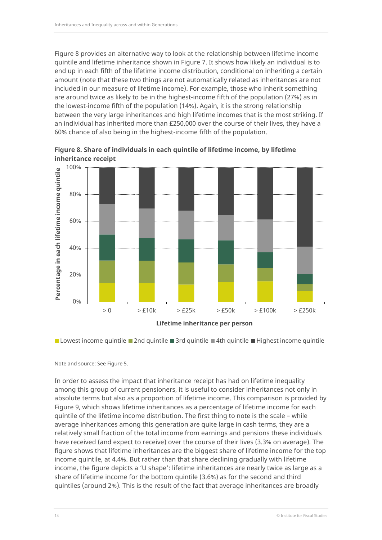Figure 8 provides an alternative way to look at the relationship between lifetime income quintile and lifetime inheritance shown in Figure 7. It shows how likely an individual is to end up in each fifth of the lifetime income distribution, conditional on inheriting a certain amount (note that these two things are not automatically related as inheritances are not included in our measure of lifetime income). For example, those who inherit something are around twice as likely to be in the highest-income fifth of the population (27%) as in the lowest-income fifth of the population (14%). Again, it is the strong relationship between the very large inheritances and high lifetime incomes that is the most striking. If an individual has inherited more than £250,000 over the course of their lives, they have a 60% chance of also being in the highest-income fifth of the population.



**Figure 8. Share of individuals in each quintile of lifetime income, by lifetime inheritance receipt** 

**Lowest income quintile 2nd quintile 3rd quintile 4th quintile Highest income quintile** 

Note and source: See Figure 5.

In order to assess the impact that inheritance receipt has had on lifetime inequality among this group of current pensioners, it is useful to consider inheritances not only in absolute terms but also as a proportion of lifetime income. This comparison is provided by Figure 9, which shows lifetime inheritances as a percentage of lifetime income for each quintile of the lifetime income distribution. The first thing to note is the scale – while average inheritances among this generation are quite large in cash terms, they are a relatively small fraction of the total income from earnings and pensions these individuals have received (and expect to receive) over the course of their lives (3.3% on average). The figure shows that lifetime inheritances are the biggest share of lifetime income for the top income quintile, at 4.4%. But rather than that share declining gradually with lifetime income, the figure depicts a 'U shape': lifetime inheritances are nearly twice as large as a share of lifetime income for the bottom quintile (3.6%) as for the second and third quintiles (around 2%). This is the result of the fact that average inheritances are broadly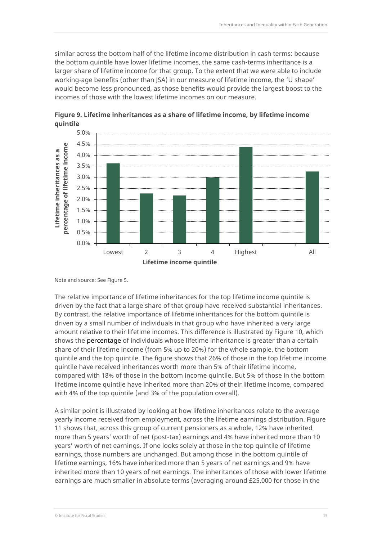similar across the bottom half of the lifetime income distribution in cash terms: because the bottom quintile have lower lifetime incomes, the same cash-terms inheritance is a larger share of lifetime income for that group. To the extent that we were able to include working-age benefits (other than JSA) in our measure of lifetime income, the 'U shape' would become less pronounced, as those benefits would provide the largest boost to the incomes of those with the lowest lifetime incomes on our measure.



**Figure 9. Lifetime inheritances as a share of lifetime income, by lifetime income quintile** 

Note and source: See Figure 5.

The relative importance of lifetime inheritances for the top lifetime income quintile is driven by the fact that a large share of that group have received substantial inheritances. By contrast, the relative importance of lifetime inheritances for the bottom quintile is driven by a small number of individuals in that group who have inherited a very large amount relative to their lifetime incomes. This difference is illustrated by Figure 10, which shows the percentage of individuals whose lifetime inheritance is greater than a certain share of their lifetime income (from 5% up to 20%) for the whole sample, the bottom quintile and the top quintile. The figure shows that 26% of those in the top lifetime income quintile have received inheritances worth more than 5% of their lifetime income, compared with 18% of those in the bottom income quintile. But 5% of those in the bottom lifetime income quintile have inherited more than 20% of their lifetime income, compared with 4% of the top quintile (and 3% of the population overall).

A similar point is illustrated by looking at how lifetime inheritances relate to the average yearly income received from employment, across the lifetime earnings distribution. Figure 11 shows that, across this group of current pensioners as a whole, 12% have inherited more than 5 years' worth of net (post-tax) earnings and 4% have inherited more than 10 years' worth of net earnings. If one looks solely at those in the top quintile of lifetime earnings, those numbers are unchanged. But among those in the bottom quintile of lifetime earnings, 16% have inherited more than 5 years of net earnings and 9% have inherited more than 10 years of net earnings. The inheritances of those with lower lifetime earnings are much smaller in absolute terms (averaging around £25,000 for those in the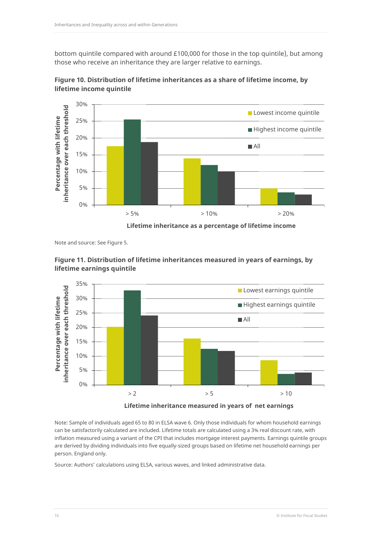bottom quintile compared with around £100,000 for those in the top quintile), but among those who receive an inheritance they are larger relative to earnings.



**Figure 10. Distribution of lifetime inheritances as a share of lifetime income, by lifetime income quintile**

**Lifetime inheritance as a percentage of lifetime income**

Note and source: See Figure 5.





**Lifetime inheritance measured in years of net earnings**

Note: Sample of individuals aged 65 to 80 in ELSA wave 6. Only those individuals for whom household earnings can be satisfactorily calculated are included. Lifetime totals are calculated using a 3% real discount rate, with inflation measured using a variant of the CPI that includes mortgage interest payments. Earnings quintile groups are derived by dividing individuals into five equally-sized groups based on lifetime net household earnings per person. England only.

Source: Authors' calculations using ELSA, various waves, and linked administrative data.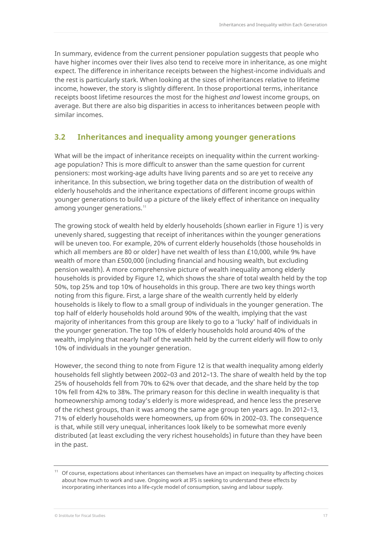In summary, evidence from the current pensioner population suggests that people who have higher incomes over their lives also tend to receive more in inheritance, as one might expect. The difference in inheritance receipts between the highest-income individuals and the rest is particularly stark. When looking at the sizes of inheritances relative to lifetime income, however, the story is slightly different. In those proportional terms, inheritance receipts boost lifetime resources the most for the highest *and* lowest income groups, on average. But there are also big disparities in access to inheritances between people with similar incomes.

#### **3.2 Inheritances and inequality among younger generations**

What will be the impact of inheritance receipts on inequality within the current workingage population? This is more difficult to answer than the same question for current pensioners: most working-age adults have living parents and so are yet to receive any inheritance. In this subsection, we bring together data on the distribution of wealth of elderly households and the inheritance expectations of different income groups within younger generations to build up a picture of the likely effect of inheritance on inequality among younger generations.<sup>[11](#page-17-0)</sup>

The growing stock of wealth held by elderly households (shown earlier in Figure 1) is very unevenly shared, suggesting that receipt of inheritances within the younger generations will be uneven too. For example, 20% of current elderly households (those households in which all members are 80 or older) have net wealth of less than £10,000, while 9% have wealth of more than £500,000 (including financial and housing wealth, but excluding pension wealth). A more comprehensive picture of wealth inequality among elderly households is provided by Figure 12, which shows the share of total wealth held by the top 50%, top 25% and top 10% of households in this group. There are two key things worth noting from this figure. First, a large share of the wealth currently held by elderly households is likely to flow to a small group of individuals in the younger generation. The top half of elderly households hold around 90% of the wealth, implying that the vast majority of inheritances from this group are likely to go to a 'lucky' half of individuals in the younger generation. The top 10% of elderly households hold around 40% of the wealth, implying that nearly half of the wealth held by the current elderly will flow to only 10% of individuals in the younger generation.

However, the second thing to note from Figure 12 is that wealth inequality among elderly households fell slightly between 2002–03 and 2012–13. The share of wealth held by the top 25% of households fell from 70% to 62% over that decade, and the share held by the top 10% fell from 42% to 38%. The primary reason for this decline in wealth inequality is that homeownership among today's elderly is more widespread, and hence less the preserve of the richest groups, than it was among the same age group ten years ago. In 2012–13, 71% of elderly households were homeowners, up from 60% in 2002–03. The consequence is that, while still very unequal, inheritances look likely to be somewhat more evenly distributed (at least excluding the very richest households) in future than they have been in the past.

<span id="page-17-0"></span><sup>&</sup>lt;sup>11</sup> Of course, expectations about inheritances can themselves have an impact on inequality by affecting choices about how much to work and save. Ongoing work at IFS is seeking to understand these effects by incorporating inheritances into a life-cycle model of consumption, saving and labour supply.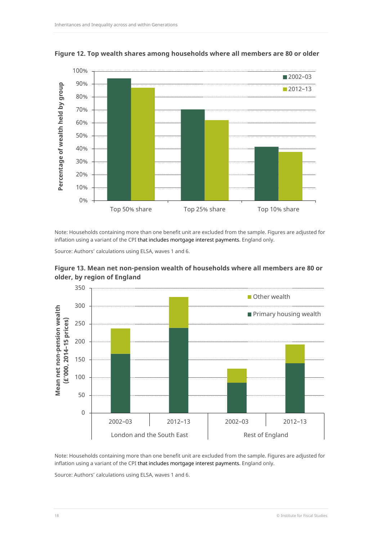

**Figure 12. Top wealth shares among households where all members are 80 or older**

Note: Households containing more than one benefit unit are excluded from the sample. Figures are adjusted for inflation using a variant of the CPI that includes mortgage interest payments. England only.

Source: Authors' calculations using ELSA, waves 1 and 6.



**Figure 13. Mean net non-pension wealth of households where all members are 80 or older, by region of England**

Note: Households containing more than one benefit unit are excluded from the sample. Figures are adjusted for inflation using a variant of the CPI that includes mortgage interest payments. England only.

Source: Authors' calculations using ELSA, waves 1 and 6.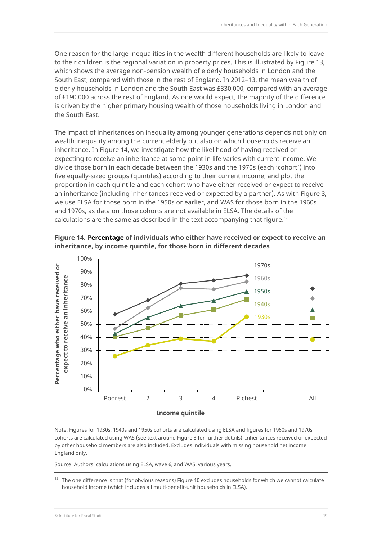One reason for the large inequalities in the wealth different households are likely to leave to their children is the regional variation in property prices. This is illustrated by Figure 13, which shows the average non-pension wealth of elderly households in London and the South East, compared with those in the rest of England. In 2012–13, the mean wealth of elderly households in London and the South East was £330,000, compared with an average of £190,000 across the rest of England. As one would expect, the majority of the difference is driven by the higher primary housing wealth of those households living in London and the South East.

The impact of inheritances on inequality among younger generations depends not only on wealth inequality among the current elderly but also on which households receive an inheritance. In Figure 14, we investigate how the likelihood of having received or expecting to receive an inheritance at some point in life varies with current income. We divide those born in each decade between the 1930s and the 1970s (each 'cohort') into five equally-sized groups (quintiles) according to their current income, and plot the proportion in each quintile and each cohort who have either received or expect to receive an inheritance (including inheritances received or expected by a partner). As with Figure 3, we use ELSA for those born in the 1950s or earlier, and WAS for those born in the 1960s and 1970s, as data on those cohorts are not available in ELSA. The details of the calculations are the same as described in the text accompanying that figure.<sup>[12](#page-19-0)</sup>



**Figure 14. Percentage of individuals who either have received or expect to receive an inheritance, by income quintile, for those born in different decades** 

Note: Figures for 1930s, 1940s and 1950s cohorts are calculated using ELSA and figures for 1960s and 1970s cohorts are calculated using WAS (see text around Figure 3 for further details). Inheritances received or expected by other household members are also included. Excludes individuals with missing household net income. England only.

Source: Authors' calculations using ELSA, wave 6, and WAS, various years.

<span id="page-19-0"></span> $12$  The one difference is that (for obvious reasons) Figure 10 excludes households for which we cannot calculate household income (which includes all multi-benefit-unit households in ELSA).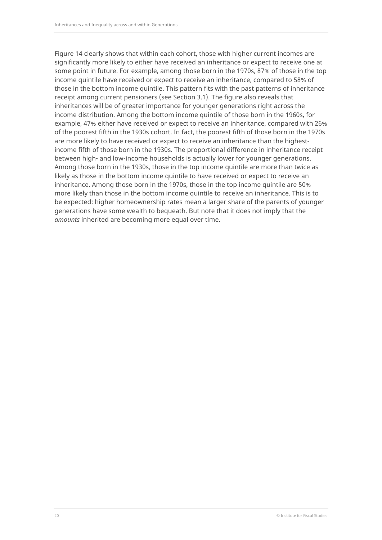Figure 14 clearly shows that within each cohort, those with higher current incomes are significantly more likely to either have received an inheritance or expect to receive one at some point in future. For example, among those born in the 1970s, 87% of those in the top income quintile have received or expect to receive an inheritance, compared to 58% of those in the bottom income quintile. This pattern fits with the past patterns of inheritance receipt among current pensioners (see Section 3.1). The figure also reveals that inheritances will be of greater importance for younger generations right across the income distribution. Among the bottom income quintile of those born in the 1960s, for example, 47% either have received or expect to receive an inheritance, compared with 26% of the poorest fifth in the 1930s cohort. In fact, the poorest fifth of those born in the 1970s are more likely to have received or expect to receive an inheritance than the highestincome fifth of those born in the 1930s. The proportional difference in inheritance receipt between high- and low-income households is actually lower for younger generations. Among those born in the 1930s, those in the top income quintile are more than twice as likely as those in the bottom income quintile to have received or expect to receive an inheritance. Among those born in the 1970s, those in the top income quintile are 50% more likely than those in the bottom income quintile to receive an inheritance. This is to be expected: higher homeownership rates mean a larger share of the parents of younger generations have some wealth to bequeath. But note that it does not imply that the *amounts* inherited are becoming more equal over time.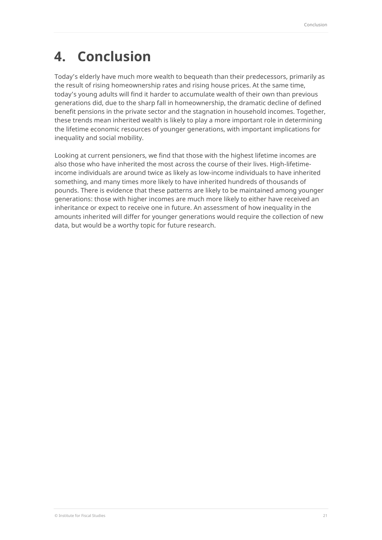# **4. Conclusion**

Today's elderly have much more wealth to bequeath than their predecessors, primarily as the result of rising homeownership rates and rising house prices. At the same time, today's young adults will find it harder to accumulate wealth of their own than previous generations did, due to the sharp fall in homeownership, the dramatic decline of defined benefit pensions in the private sector and the stagnation in household incomes. Together, these trends mean inherited wealth is likely to play a more important role in determining the lifetime economic resources of younger generations, with important implications for inequality and social mobility.

Looking at current pensioners, we find that those with the highest lifetime incomes are also those who have inherited the most across the course of their lives. High-lifetimeincome individuals are around twice as likely as low-income individuals to have inherited something, and many times more likely to have inherited hundreds of thousands of pounds. There is evidence that these patterns are likely to be maintained among younger generations: those with higher incomes are much more likely to either have received an inheritance or expect to receive one in future. An assessment of how inequality in the amounts inherited will differ for younger generations would require the collection of new data, but would be a worthy topic for future research.